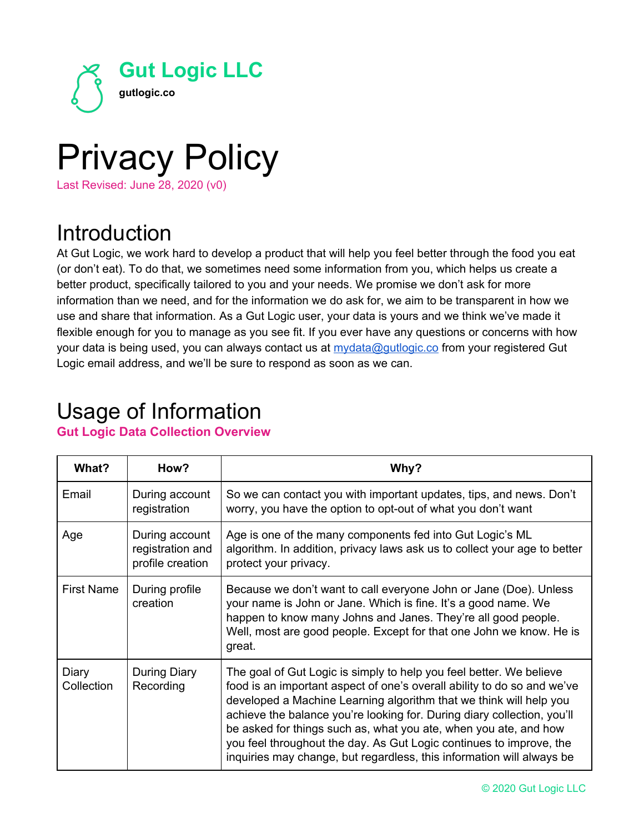

# Privacy Policy Last Revised: June 28, 2020 (v0)

# Introduction

At Gut Logic, we work hard to develop a product that will help you feel better through the food you eat (or don't eat). To do that, we sometimes need some information from you, which helps us create a better product, specifically tailored to you and your needs. We promise we don't ask for more information than we need, and for the information we do ask for, we aim to be transparent in how we use and share that information. As a Gut Logic user, your data is yours and we think we've made it flexible enough for you to manage as you see fit. If you ever have any questions or concerns with how your data is being used, you can always contact us at [mydata@gutlogic.co](mailto:mydata@gutlogic.co) from your registered Gut Logic email address, and we'll be sure to respond as soon as we can.

## Usage of Information

#### **Gut Logic Data Collection Overview**

| What?               | How?                                                   | Why?                                                                                                                                                                                                                                                                                                                                                                                                                                                                                                                |
|---------------------|--------------------------------------------------------|---------------------------------------------------------------------------------------------------------------------------------------------------------------------------------------------------------------------------------------------------------------------------------------------------------------------------------------------------------------------------------------------------------------------------------------------------------------------------------------------------------------------|
| Email               | During account<br>registration                         | So we can contact you with important updates, tips, and news. Don't<br>worry, you have the option to opt-out of what you don't want                                                                                                                                                                                                                                                                                                                                                                                 |
| Age                 | During account<br>registration and<br>profile creation | Age is one of the many components fed into Gut Logic's ML<br>algorithm. In addition, privacy laws ask us to collect your age to better<br>protect your privacy.                                                                                                                                                                                                                                                                                                                                                     |
| <b>First Name</b>   | During profile<br>creation                             | Because we don't want to call everyone John or Jane (Doe). Unless<br>your name is John or Jane. Which is fine. It's a good name. We<br>happen to know many Johns and Janes. They're all good people.<br>Well, most are good people. Except for that one John we know. He is<br>great.                                                                                                                                                                                                                               |
| Diary<br>Collection | During Diary<br>Recording                              | The goal of Gut Logic is simply to help you feel better. We believe<br>food is an important aspect of one's overall ability to do so and we've<br>developed a Machine Learning algorithm that we think will help you<br>achieve the balance you're looking for. During diary collection, you'll<br>be asked for things such as, what you ate, when you ate, and how<br>you feel throughout the day. As Gut Logic continues to improve, the<br>inquiries may change, but regardless, this information will always be |